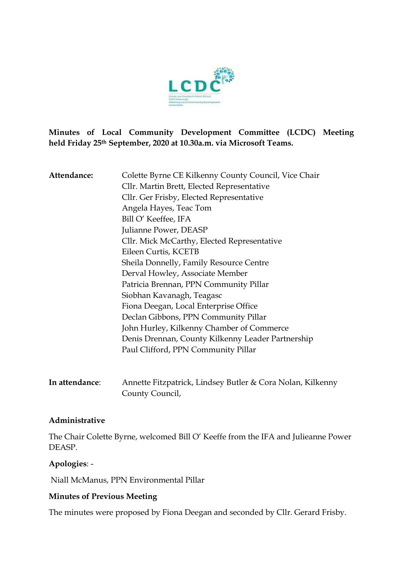

**Minutes of Local Community Development Committee (LCDC) Meeting held Friday 25th September, 2020 at 10.30a.m. via Microsoft Teams.** 

| Attendance: | Colette Byrne CE Kilkenny County Council, Vice Chair |
|-------------|------------------------------------------------------|
|             | Cllr. Martin Brett, Elected Representative           |
|             | Cllr. Ger Frisby, Elected Representative             |
|             | Angela Hayes, Teac Tom                               |
|             | Bill O' Keeffee, IFA                                 |
|             | Julianne Power, DEASP                                |
|             | Cllr. Mick McCarthy, Elected Representative          |
|             | Eileen Curtis, KCETB                                 |
|             | Sheila Donnelly, Family Resource Centre              |
|             | Derval Howley, Associate Member                      |
|             | Patricia Brennan, PPN Community Pillar               |
|             | Siobhan Kavanagh, Teagasc                            |
|             | Fiona Deegan, Local Enterprise Office                |
|             | Declan Gibbons, PPN Community Pillar                 |
|             | John Hurley, Kilkenny Chamber of Commerce            |
|             | Denis Drennan, County Kilkenny Leader Partnership    |
|             | Paul Clifford, PPN Community Pillar                  |
|             |                                                      |
|             |                                                      |

**In attendance**: Annette Fitzpatrick, Lindsey Butler & Cora Nolan, Kilkenny County Council,

#### **Administrative**

The Chair Colette Byrne, welcomed Bill O' Keeffe from the IFA and Julieanne Power DEASP.

#### **Apologies**: -

Niall McManus, PPN Environmental Pillar

#### **Minutes of Previous Meeting**

The minutes were proposed by Fiona Deegan and seconded by Cllr. Gerard Frisby.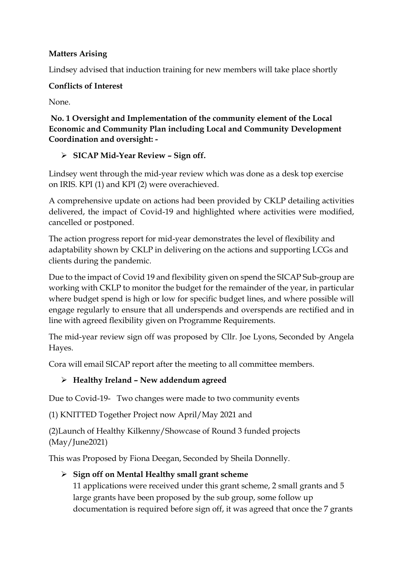### **Matters Arising**

Lindsey advised that induction training for new members will take place shortly

#### **Conflicts of Interest**

None.

**No. 1 Oversight and Implementation of the community element of the Local Economic and Community Plan including Local and Community Development Coordination and oversight: -**

## ➢ **SICAP Mid-Year Review – Sign off.**

Lindsey went through the mid-year review which was done as a desk top exercise on IRIS. KPI (1) and KPI (2) were overachieved.

A comprehensive update on actions had been provided by CKLP detailing activities delivered, the impact of Covid-19 and highlighted where activities were modified, cancelled or postponed.

The action progress report for mid-year demonstrates the level of flexibility and adaptability shown by CKLP in delivering on the actions and supporting LCGs and clients during the pandemic.

Due to the impact of Covid 19 and flexibility given on spend the SICAP Sub-group are working with CKLP to monitor the budget for the remainder of the year, in particular where budget spend is high or low for specific budget lines, and where possible will engage regularly to ensure that all underspends and overspends are rectified and in line with agreed flexibility given on Programme Requirements.

The mid-year review sign off was proposed by Cllr. Joe Lyons, Seconded by Angela Hayes.

Cora will email SICAP report after the meeting to all committee members.

## ➢ **Healthy Ireland – New addendum agreed**

Due to Covid-19- Two changes were made to two community events

(1) KNITTED Together Project now April/May 2021 and

(2)Launch of Healthy Kilkenny/Showcase of Round 3 funded projects (May/June2021)

This was Proposed by Fiona Deegan, Seconded by Sheila Donnelly.

# ➢ **Sign off on Mental Healthy small grant scheme**

11 applications were received under this grant scheme, 2 small grants and 5 large grants have been proposed by the sub group, some follow up documentation is required before sign off, it was agreed that once the 7 grants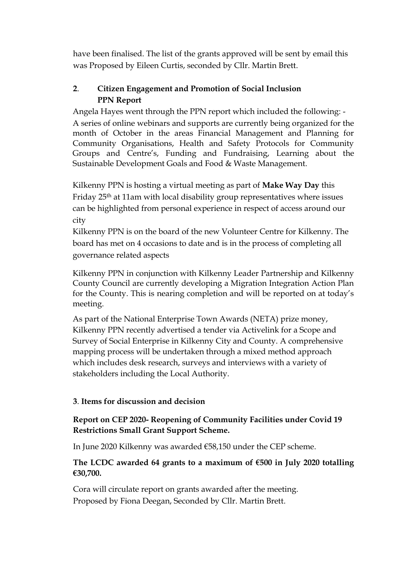have been finalised. The list of the grants approved will be sent by email this was Proposed by Eileen Curtis, seconded by Cllr. Martin Brett.

### **2**. **Citizen Engagement and Promotion of Social Inclusion PPN Report**

Angela Hayes went through the PPN report which included the following: - A series of online webinars and supports are currently being organized for the month of October in the areas Financial Management and Planning for Community Organisations, Health and Safety Protocols for Community Groups and Centre's, Funding and Fundraising, Learning about the Sustainable Development Goals and Food & Waste Management.

Kilkenny PPN is hosting a virtual meeting as part of **Make Way Day** this Friday 25th at 11am with local disability group representatives where issues can be highlighted from personal experience in respect of access around our city

Kilkenny PPN is on the board of the new Volunteer Centre for Kilkenny. The board has met on 4 occasions to date and is in the process of completing all governance related aspects

Kilkenny PPN in conjunction with Kilkenny Leader Partnership and Kilkenny County Council are currently developing a Migration Integration Action Plan for the County. This is nearing completion and will be reported on at today's meeting.

As part of the National Enterprise Town Awards (NETA) prize money, Kilkenny PPN recently advertised a tender via Activelink for a Scope and Survey of Social Enterprise in Kilkenny City and County. A comprehensive mapping process will be undertaken through a mixed method approach which includes desk research, surveys and interviews with a variety of stakeholders including the Local Authority.

#### **3**. **Items for discussion and decision**

### **Report on CEP 2020- Reopening of Community Facilities under Covid 19 Restrictions Small Grant Support Scheme.**

In June 2020 Kilkenny was awarded €58,150 under the CEP scheme.

### **The LCDC awarded 64 grants to a maximum of €500 in July 2020 totalling €30,700.**

Cora will circulate report on grants awarded after the meeting. Proposed by Fiona Deegan, Seconded by Cllr. Martin Brett.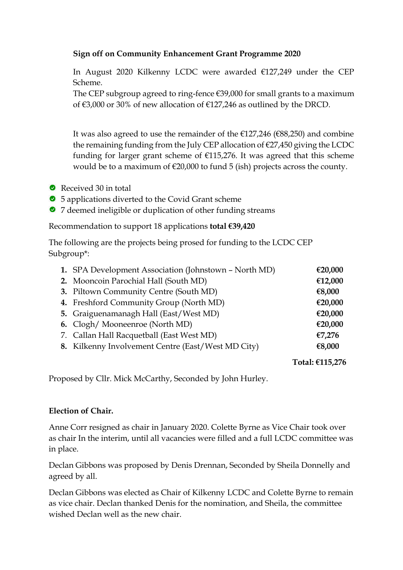#### **Sign off on Community Enhancement Grant Programme 2020**

In August 2020 Kilkenny LCDC were awarded €127,249 under the CEP Scheme.

The CEP subgroup agreed to ring-fence  $\epsilon$ 39,000 for small grants to a maximum of €3,000 or 30% of new allocation of €127,246 as outlined by the DRCD.

It was also agreed to use the remainder of the €127,246 (€88,250) and combine the remaining funding from the July CEP allocation of €27,450 giving the LCDC funding for larger grant scheme of  $£115,276$ . It was agreed that this scheme would be to a maximum of  $\epsilon$ 20,000 to fund 5 (ish) projects across the county.

- Received 30 in total
- 5 applications diverted to the Covid Grant scheme
- 7 deemed ineligible or duplication of other funding streams

Recommendation to support 18 applications **total €39,420**

The following are the projects being prosed for funding to the LCDC CEP Subgroup\*:

| 1. SPA Development Association (Johnstown - North MD) | €20,000 |
|-------------------------------------------------------|---------|
| 2. Mooncoin Parochial Hall (South MD)                 | €12,000 |
| 3. Piltown Community Centre (South MD)                | €8,000  |
| 4. Freshford Community Group (North MD)               | €20,000 |
| 5. Graiguenamanagh Hall (East/West MD)                | €20,000 |
| 6. Clogh/Mooneenroe (North MD)                        | €20,000 |
| 7. Callan Hall Racquetball (East West MD)             | €7,276  |
| 8. Kilkenny Involvement Centre (East/West MD City)    | €8,000  |
|                                                       |         |

**Total: €115,276**

Proposed by Cllr. Mick McCarthy, Seconded by John Hurley.

#### **Election of Chair.**

Anne Corr resigned as chair in January 2020. Colette Byrne as Vice Chair took over as chair In the interim, until all vacancies were filled and a full LCDC committee was in place.

Declan Gibbons was proposed by Denis Drennan, Seconded by Sheila Donnelly and agreed by all.

Declan Gibbons was elected as Chair of Kilkenny LCDC and Colette Byrne to remain as vice chair. Declan thanked Denis for the nomination, and Sheila, the committee wished Declan well as the new chair.